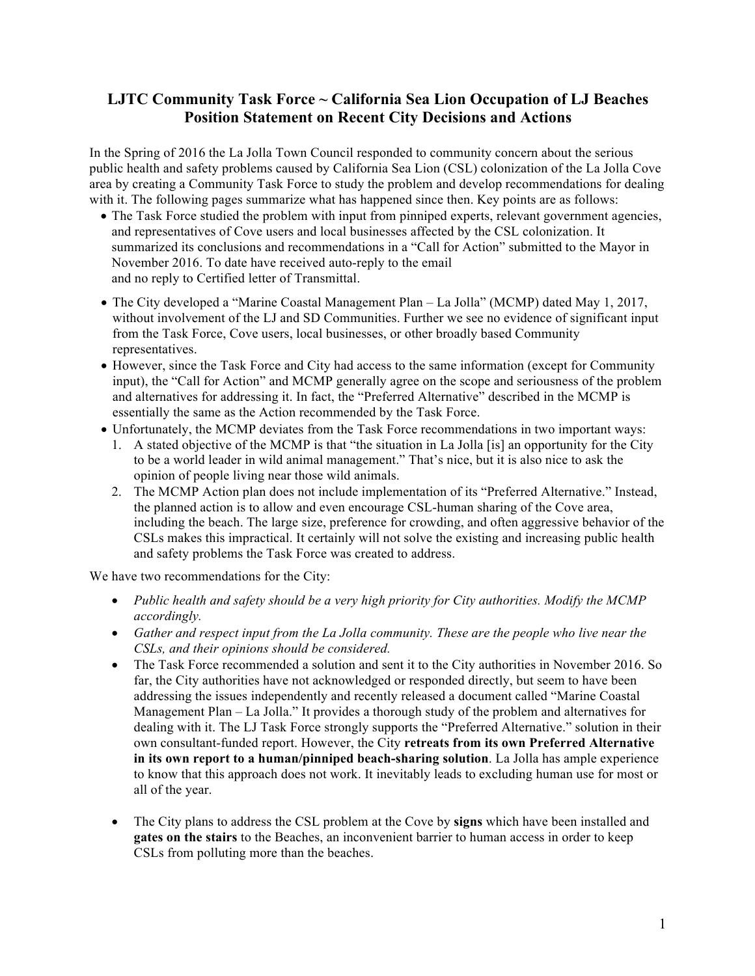# **LJTC Community Task Force ~ California Sea Lion Occupation of LJ Beaches Position Statement on Recent City Decisions and Actions**

In the Spring of 2016 the La Jolla Town Council responded to community concern about the serious public health and safety problems caused by California Sea Lion (CSL) colonization of the La Jolla Cove area by creating a Community Task Force to study the problem and develop recommendations for dealing with it. The following pages summarize what has happened since then. Key points are as follows:

- The Task Force studied the problem with input from pinniped experts, relevant government agencies, and representatives of Cove users and local businesses affected by the CSL colonization. It summarized its conclusions and recommendations in a "Call for Action" submitted to the Mayor in November 2016. To date have received auto-reply to the email and no reply to Certified letter of Transmittal.
- The City developed a "Marine Coastal Management Plan La Jolla" (MCMP) dated May 1, 2017, without involvement of the LJ and SD Communities. Further we see no evidence of significant input from the Task Force, Cove users, local businesses, or other broadly based Community representatives.
- However, since the Task Force and City had access to the same information (except for Community input), the "Call for Action" and MCMP generally agree on the scope and seriousness of the problem and alternatives for addressing it. In fact, the "Preferred Alternative" described in the MCMP is essentially the same as the Action recommended by the Task Force.
- Unfortunately, the MCMP deviates from the Task Force recommendations in two important ways:
	- 1. A stated objective of the MCMP is that "the situation in La Jolla [is] an opportunity for the City to be a world leader in wild animal management." That's nice, but it is also nice to ask the opinion of people living near those wild animals.
	- 2. The MCMP Action plan does not include implementation of its "Preferred Alternative." Instead, the planned action is to allow and even encourage CSL-human sharing of the Cove area, including the beach. The large size, preference for crowding, and often aggressive behavior of the CSLs makes this impractical. It certainly will not solve the existing and increasing public health and safety problems the Task Force was created to address.

We have two recommendations for the City:

- *Public health and safety should be a very high priority for City authorities. Modify the MCMP accordingly.*
- *Gather and respect input from the La Jolla community. These are the people who live near the CSLs, and their opinions should be considered.*
- The Task Force recommended a solution and sent it to the City authorities in November 2016. So far, the City authorities have not acknowledged or responded directly, but seem to have been addressing the issues independently and recently released a document called "Marine Coastal Management Plan – La Jolla." It provides a thorough study of the problem and alternatives for dealing with it. The LJ Task Force strongly supports the "Preferred Alternative." solution in their own consultant-funded report. However, the City **retreats from its own Preferred Alternative in its own report to a human/pinniped beach-sharing solution**. La Jolla has ample experience to know that this approach does not work. It inevitably leads to excluding human use for most or all of the year.
- The City plans to address the CSL problem at the Cove by **signs** which have been installed and **gates on the stairs** to the Beaches, an inconvenient barrier to human access in order to keep CSLs from polluting more than the beaches.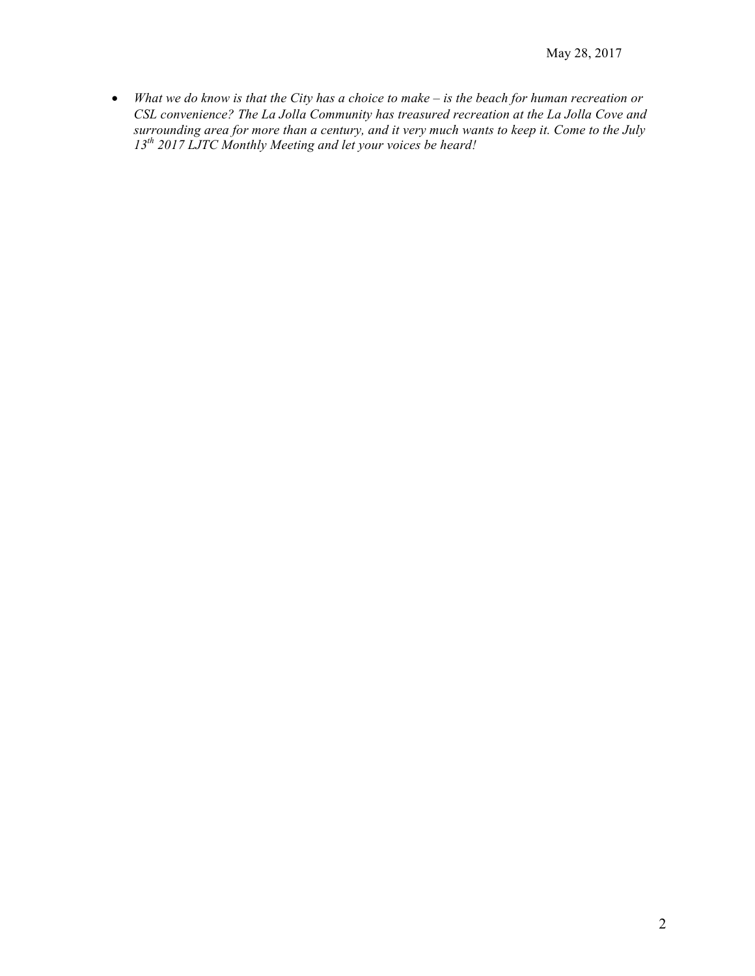• *What we do know is that the City has a choice to make – is the beach for human recreation or CSL convenience? The La Jolla Community has treasured recreation at the La Jolla Cove and surrounding area for more than a century, and it very much wants to keep it. Come to the July 13th 2017 LJTC Monthly Meeting and let your voices be heard!*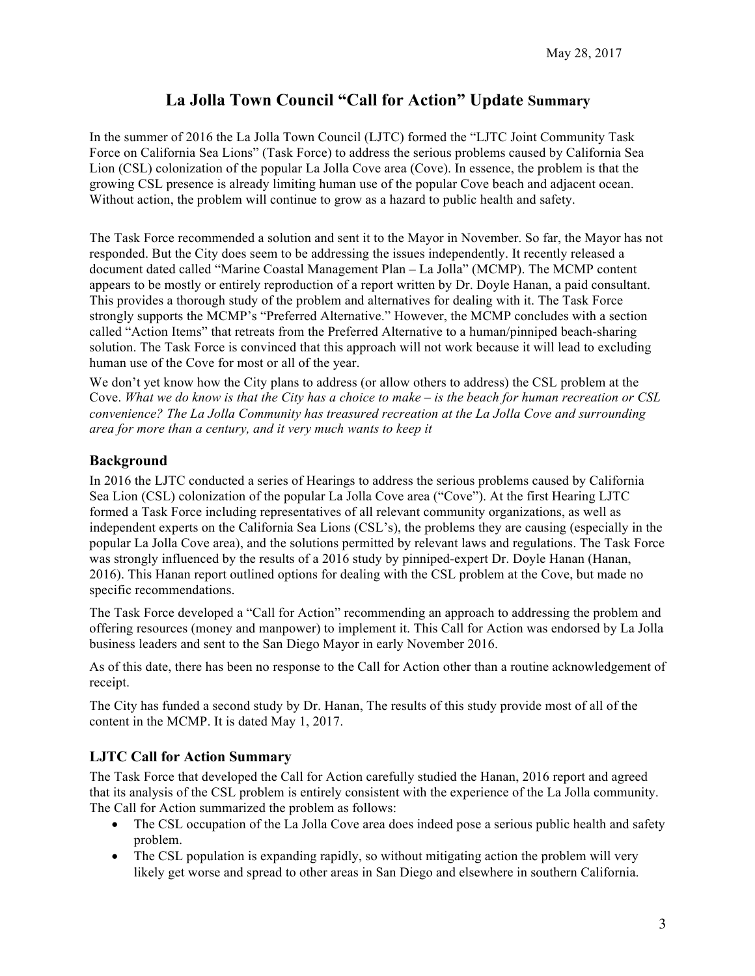# **La Jolla Town Council "Call for Action" Update Summary**

In the summer of 2016 the La Jolla Town Council (LJTC) formed the "LJTC Joint Community Task Force on California Sea Lions" (Task Force) to address the serious problems caused by California Sea Lion (CSL) colonization of the popular La Jolla Cove area (Cove). In essence, the problem is that the growing CSL presence is already limiting human use of the popular Cove beach and adjacent ocean. Without action, the problem will continue to grow as a hazard to public health and safety.

The Task Force recommended a solution and sent it to the Mayor in November. So far, the Mayor has not responded. But the City does seem to be addressing the issues independently. It recently released a document dated called "Marine Coastal Management Plan – La Jolla" (MCMP). The MCMP content appears to be mostly or entirely reproduction of a report written by Dr. Doyle Hanan, a paid consultant. This provides a thorough study of the problem and alternatives for dealing with it. The Task Force strongly supports the MCMP's "Preferred Alternative." However, the MCMP concludes with a section called "Action Items" that retreats from the Preferred Alternative to a human/pinniped beach-sharing solution. The Task Force is convinced that this approach will not work because it will lead to excluding human use of the Cove for most or all of the year.

We don't yet know how the City plans to address (or allow others to address) the CSL problem at the Cove. *What we do know is that the City has a choice to make – is the beach for human recreation or CSL convenience? The La Jolla Community has treasured recreation at the La Jolla Cove and surrounding area for more than a century, and it very much wants to keep it*

## **Background**

In 2016 the LJTC conducted a series of Hearings to address the serious problems caused by California Sea Lion (CSL) colonization of the popular La Jolla Cove area ("Cove"). At the first Hearing LJTC formed a Task Force including representatives of all relevant community organizations, as well as independent experts on the California Sea Lions (CSL's), the problems they are causing (especially in the popular La Jolla Cove area), and the solutions permitted by relevant laws and regulations. The Task Force was strongly influenced by the results of a 2016 study by pinniped-expert Dr. Doyle Hanan (Hanan, 2016). This Hanan report outlined options for dealing with the CSL problem at the Cove, but made no specific recommendations.

The Task Force developed a "Call for Action" recommending an approach to addressing the problem and offering resources (money and manpower) to implement it. This Call for Action was endorsed by La Jolla business leaders and sent to the San Diego Mayor in early November 2016.

As of this date, there has been no response to the Call for Action other than a routine acknowledgement of receipt.

The City has funded a second study by Dr. Hanan, The results of this study provide most of all of the content in the MCMP. It is dated May 1, 2017.

## **LJTC Call for Action Summary**

The Task Force that developed the Call for Action carefully studied the Hanan, 2016 report and agreed that its analysis of the CSL problem is entirely consistent with the experience of the La Jolla community. The Call for Action summarized the problem as follows:

- The CSL occupation of the La Jolla Cove area does indeed pose a serious public health and safety problem.
- The CSL population is expanding rapidly, so without mitigating action the problem will very likely get worse and spread to other areas in San Diego and elsewhere in southern California.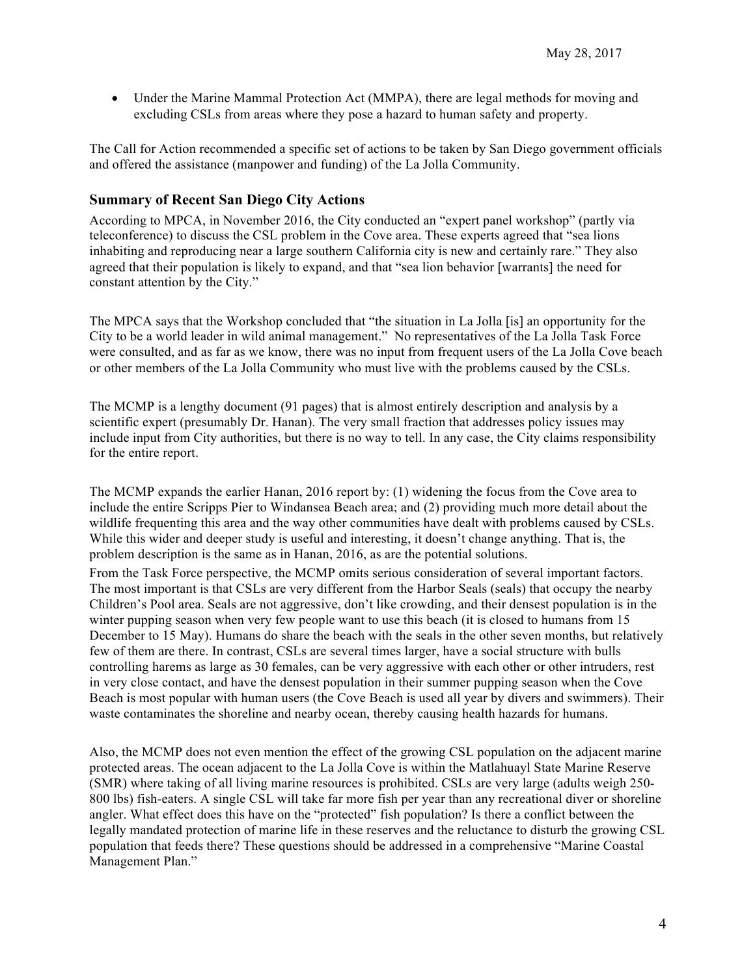• Under the Marine Mammal Protection Act (MMPA), there are legal methods for moving and excluding CSLs from areas where they pose a hazard to human safety and property.

The Call for Action recommended a specific set of actions to be taken by San Diego government officials and offered the assistance (manpower and funding) of the La Jolla Community.

### **Summary of Recent San Diego City Actions**

According to MPCA, in November 2016, the City conducted an "expert panel workshop" (partly via teleconference) to discuss the CSL problem in the Cove area. These experts agreed that "sea lions inhabiting and reproducing near a large southern California city is new and certainly rare." They also agreed that their population is likely to expand, and that "sea lion behavior [warrants] the need for constant attention by the City."

The MPCA says that the Workshop concluded that "the situation in La Jolla [is] an opportunity for the City to be a world leader in wild animal management." No representatives of the La Jolla Task Force were consulted, and as far as we know, there was no input from frequent users of the La Jolla Cove beach or other members of the La Jolla Community who must live with the problems caused by the CSLs.

The MCMP is a lengthy document (91 pages) that is almost entirely description and analysis by a scientific expert (presumably Dr. Hanan). The very small fraction that addresses policy issues may include input from City authorities, but there is no way to tell. In any case, the City claims responsibility for the entire report.

The MCMP expands the earlier Hanan, 2016 report by: (1) widening the focus from the Cove area to include the entire Scripps Pier to Windansea Beach area; and (2) providing much more detail about the wildlife frequenting this area and the way other communities have dealt with problems caused by CSLs. While this wider and deeper study is useful and interesting, it doesn't change anything. That is, the problem description is the same as in Hanan, 2016, as are the potential solutions.

From the Task Force perspective, the MCMP omits serious consideration of several important factors. The most important is that CSLs are very different from the Harbor Seals (seals) that occupy the nearby Children's Pool area. Seals are not aggressive, don't like crowding, and their densest population is in the winter pupping season when very few people want to use this beach (it is closed to humans from 15 December to 15 May). Humans do share the beach with the seals in the other seven months, but relatively few of them are there. In contrast, CSLs are several times larger, have a social structure with bulls controlling harems as large as 30 females, can be very aggressive with each other or other intruders, rest in very close contact, and have the densest population in their summer pupping season when the Cove Beach is most popular with human users (the Cove Beach is used all year by divers and swimmers). Their waste contaminates the shoreline and nearby ocean, thereby causing health hazards for humans.

Also, the MCMP does not even mention the effect of the growing CSL population on the adjacent marine protected areas. The ocean adjacent to the La Jolla Cove is within the Matlahuayl State Marine Reserve (SMR) where taking of all living marine resources is prohibited. CSLs are very large (adults weigh 250- 800 lbs) fish-eaters. A single CSL will take far more fish per year than any recreational diver or shoreline angler. What effect does this have on the "protected" fish population? Is there a conflict between the legally mandated protection of marine life in these reserves and the reluctance to disturb the growing CSL population that feeds there? These questions should be addressed in a comprehensive "Marine Coastal Management Plan."